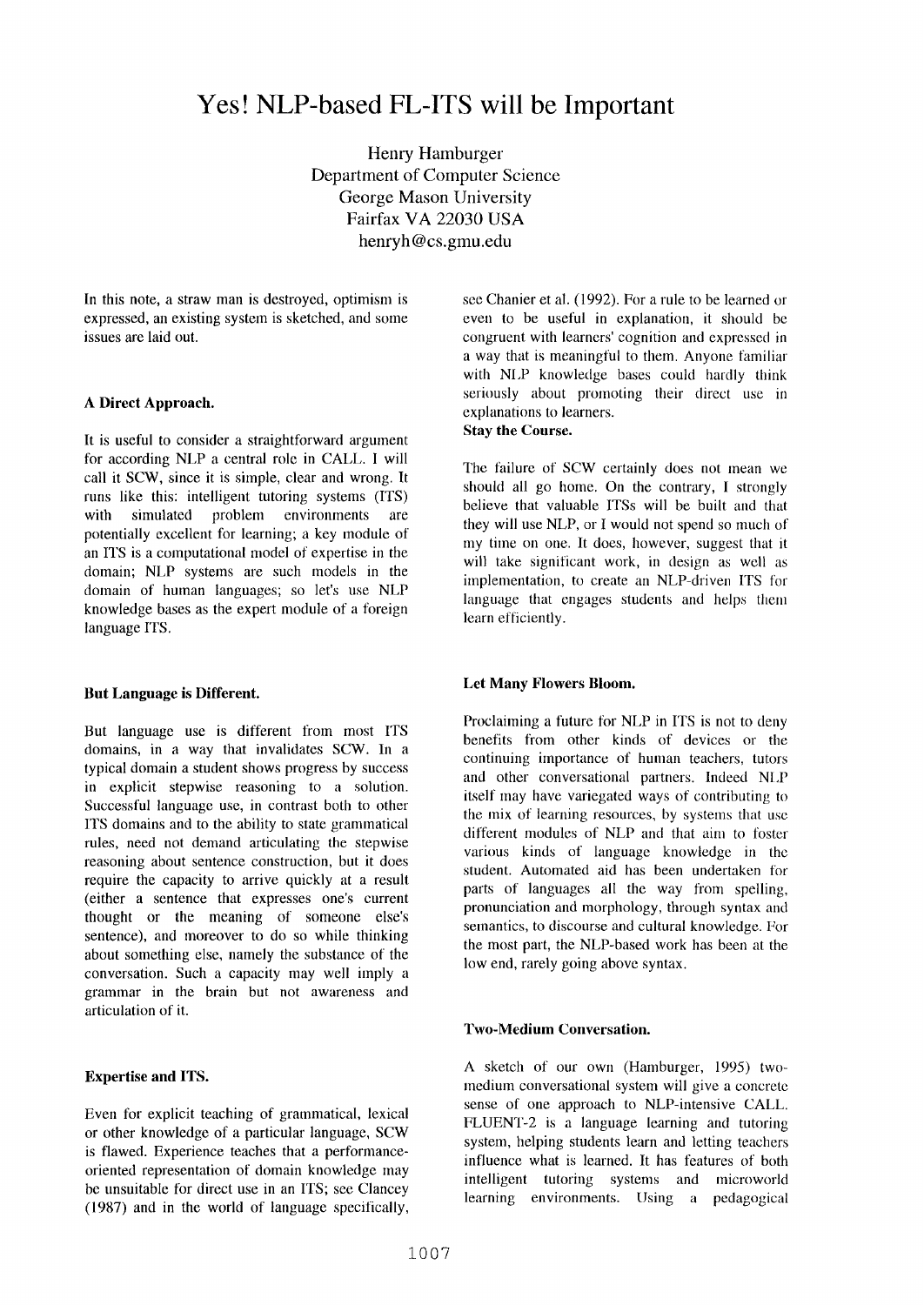# **Yes! NLP-based FL-ITS will be Important**

Henry Hamburger Department of Computer Science George Mason University Fairfax VA 22030 USA henryh@cs.gmu.edu

In this note, a straw man is destroyed, optimism is expressed, an existing system is sketched, and some issues are laid out.

## **A Direct Approach.**

It is useful to consider a straightforward argument for according NLP a central role in CALL. I will call it SCW, since it is simple, clear and wrong. It runs like this: intelligent tutoring systems (ITS) with simulated problem environments are potentially excellent for learning; a key module of an ITS is a computational model of expertise in the domain; NLP systems are such models in the domain of human languages; so let's use NLP knowledge bases as the expert module of a foreign language ITS.

### **But Language is Different.**

But language use is different from most ITS domains, in a way that invalidates SCW. In a typical domain a student shows progress by success in explicit stepwise reasoning to a solution. Successful language use, in contrast both to other ITS domains and to the ability to state grammatical rules, need not demand articulating the stepwise reasoning about sentence construction, but it does require the capacity to arrive quickly at a result (either a sentence that expresses one's current thought or the meaning of someone else's sentence), and moreover to do so while thinking about something else, namely the substance of the conversation. Such a capacity may well imply a grammar in the brain but not awareness and articulation of it.

# **Expertise and ITS.**

Even for explicit teaching of grammatical, lexical or other knowledge of a particular language, SCW is flawed. Experience teaches that a performanceoriented representation of domain knowledge may be unsuitable for direct use in an ITS; see Clancey (1987) and in the world of language specifically, see Chanier et al. (1992). For a rule to be learned or even to be useful in explanation, **it** should be congruent with learners' cognition and expressed in a way that is meaningful to them. Anyone familiar with NLP knowledge bases could hardly think seriously about promoting their direct use in explanations to learners.

# **Stay the Course.**

The failure of SCW certainly does not mean we should all go home. On the contrary, I strongly believe that valuable ITSs will be built and that they will use NLP, or I would not spend so much of my time on one. It does, however, suggest that it will take significant work, in design as well as implementation, to create an NLP-driven ITS for language that engages students and helps them learn efficiently.

#### **Let Many Flowers Bloom.**

Proclaiming a future for NLP in ITS is not to deny benefits from other kinds of devices or the continuing importance of human teachers, tutors and other conversational partners. Indeed N1,P itself may have variegated ways of contributing to the mix of learning resources, by systems that use different modules of NLP and that aim to foster various kinds of language knowledge in the student. Automated aid has been undertaken for parts of languages all the way from spelling, pronunciation and morphology, through syntax and semantics, to discourse and cultural knowledge. For the most part, the NLP-based work has been at the low end, rarely going above syntax.

# **Two-Medium Conversation.**

A sketch of our own (Hamburger, 1995) twomedium conversational system will give a concrete sense of one approach to NLP-intensive CALL. FLUENT-2 is a language learning and tutoring system, helping students learn and letting teachers influence what is learned. It has features of both intelligent tutoring systems and microworld learning environments. Using a pedagogical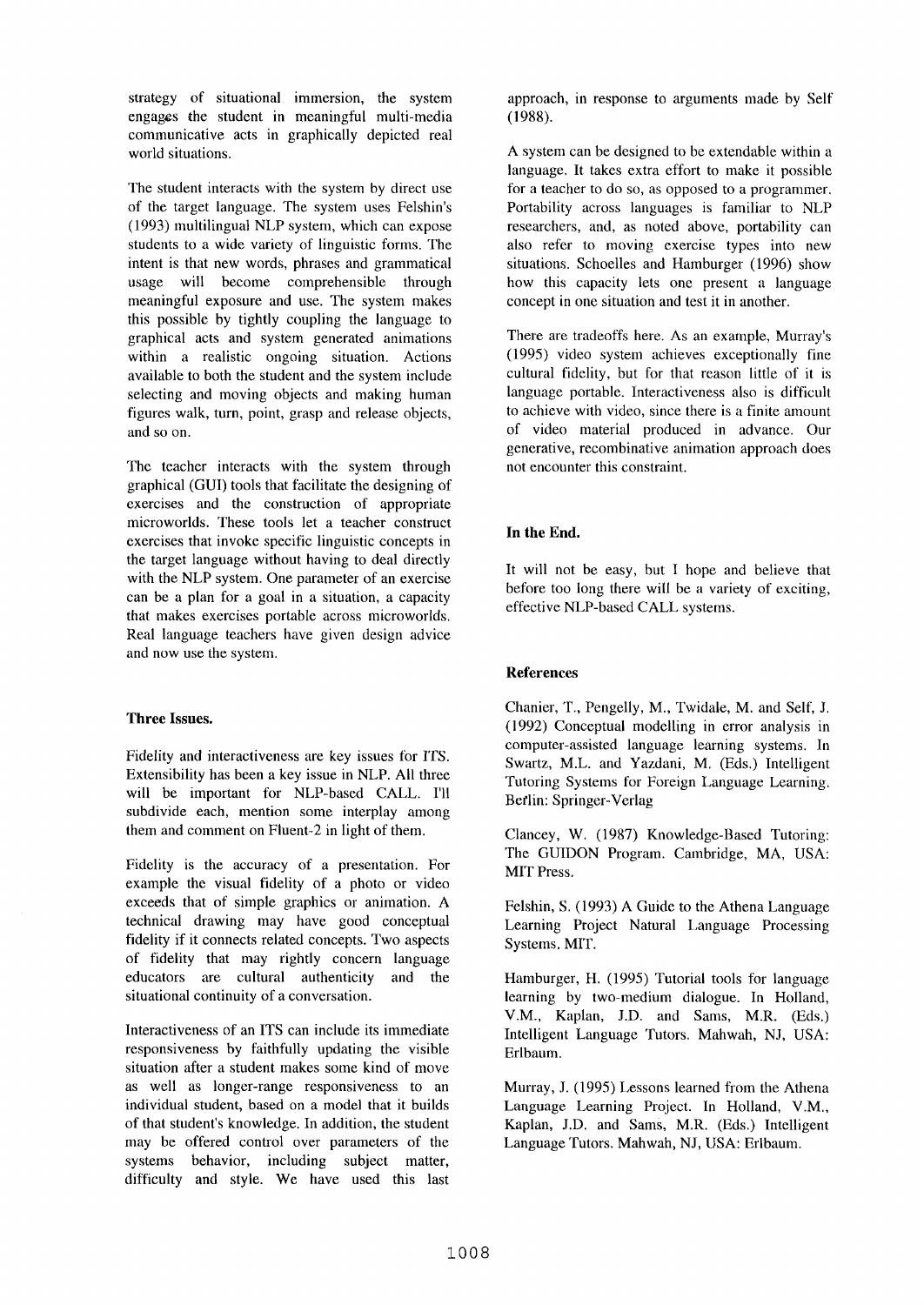strategy of situational immersion, the system engages the student in meaningful multi-media communicative acts in graphically depicted real world situations.

The student interacts with the system by direct use of the target language. The system uses Felshin's (1993) multilingual NLP system, which can expose students to a wide variety of linguistic forms. The intent is that new words, phrases and grammatical usage will become comprehensible through meaningful exposure and use. The system makes this possible by tightly coupling the language to graphical acts and system generated animations within a realistic ongoing situation. Actions available to both the student and the system include selecting and moving objects and making human figures walk, turn, point, grasp and release objects, and so on.

The teacher interacts with the system through graphical (GUI) tools that facilitate the designing of exercises and the construction of appropriate microworlds. These tools let a teacher construct exercises that invoke specific linguistic concepts in the target language without having to deal directly with the NLP system. One parameter of an exercise can be a plan for a goal in a situation, a capacity that makes exercises portable across microworlds. Real language teachers have given design advice and now use the system.

## **Three Issues.**

Fidelity and interactiveness are key issues for ITS. Extensibility has been a key issue in NLP. All three will be important for NLP-based CALL. I'll subdivide each, mention some interplay among them and comment on Fluent-2 in light of them.

Fidelity is the accuracy of a presentation. For example the visual fidelity of a photo or video exceeds that of simple graphics or animation. A technical drawing may have good conceptual fidelity if it connects related concepts. Two aspects of fidelity that may rightly concern language educators are cultural authenticity and the situational continuity of a conversation.

Interactiveness of an ITS can include its immediate responsiveness by faithfully updating the visible situation after a student makes some kind of move as well as longer-range responsiveness to an individual student, based on a model that it builds of that student's knowledge. In addition, the student may be offered control over parameters of the systems behavior, including subject matter, difficulty and style. We have used this last

approach, in response to arguments made by Self (1988).

A system can be designed to be extendable within a language. It takes extra effort to make it possible for a teacher to do so, as opposed to a programmer. Portability across languages is familiar to NLP researchers, and, as noted above, portability can also refer to moving exercise types into new situations. Schoelles and Hamburger (1996) show how this capacity lets one present a language concept in one situation and test it in another.

There are tradeoffs here. As an example, Murray's (1995) video system achieves exceptionally fine cultural fidelity, but for that reason little of it is language portable. Interactiveness also is difficult to achieve with video, since there is a finite amount of video material produced in advance. Our generative, recombinative animation approach does not encounter this constraint.

# **In the End.**

It will not be easy, but I hope and believe that before too long there will be a variety of exciting, effective NLP-based CALL systems.

# **References**

Chanier, T., Pengelly, M., Twidale, M. and Self, J. (1992) Conceptual modelling in error analysis in computer-assisted language learning systems. In Swartz, M.L. and Yazdani, M. (Eds.) Intelligent Tutoring Systems for Foreign Language Learning. Berlin: Springer-Verlag

Clancey, W. (1987) Knowledge-Based Tutoring: The GUIDON Program. Cambridge, MA, USA: MIT Press.

Felshin, S. (1993) A Guide to the Athena Language Learning Project Natural Language Processing Systems. MIT.

Hamburger, H. (1995) Tutorial tools for language learning by two-medium dialogue. In Holland, V.M., Kaplan, J.D. and Sams, M.R. (Eds.) Intelligent Language Tutors. Mahwah, NJ, USA: Erlbaum.

Murray, J. (1995) Lessons learned from the Athena Language Learning Project. In Holland, V.M., Kaplan, J.D. and Sams, M.R. (Eds.) Intelligent Language Tutors, Mahwah, NJ, USA: Erlbaum.